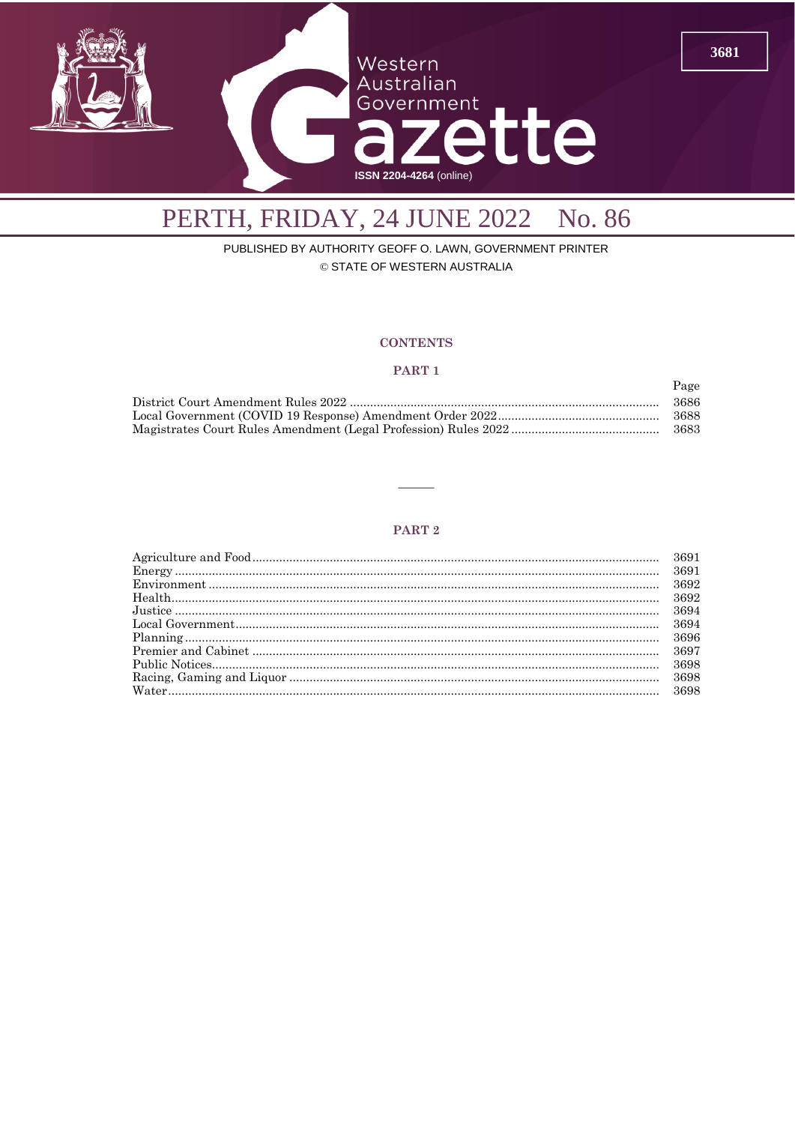

## PERTH, FRIDAY, 24 JUNE 2022 No. 86

PUBLISHED BY AUTHORITY GEOFF O. LAWN, GOVERNMENT PRINTER © STATE OF WESTERN AUSTRALIA

#### **CONTENTS**

#### PART<sub>1</sub>

| Page  |
|-------|
| 3686  |
| -3688 |
| -3683 |

#### PART<sub>2</sub>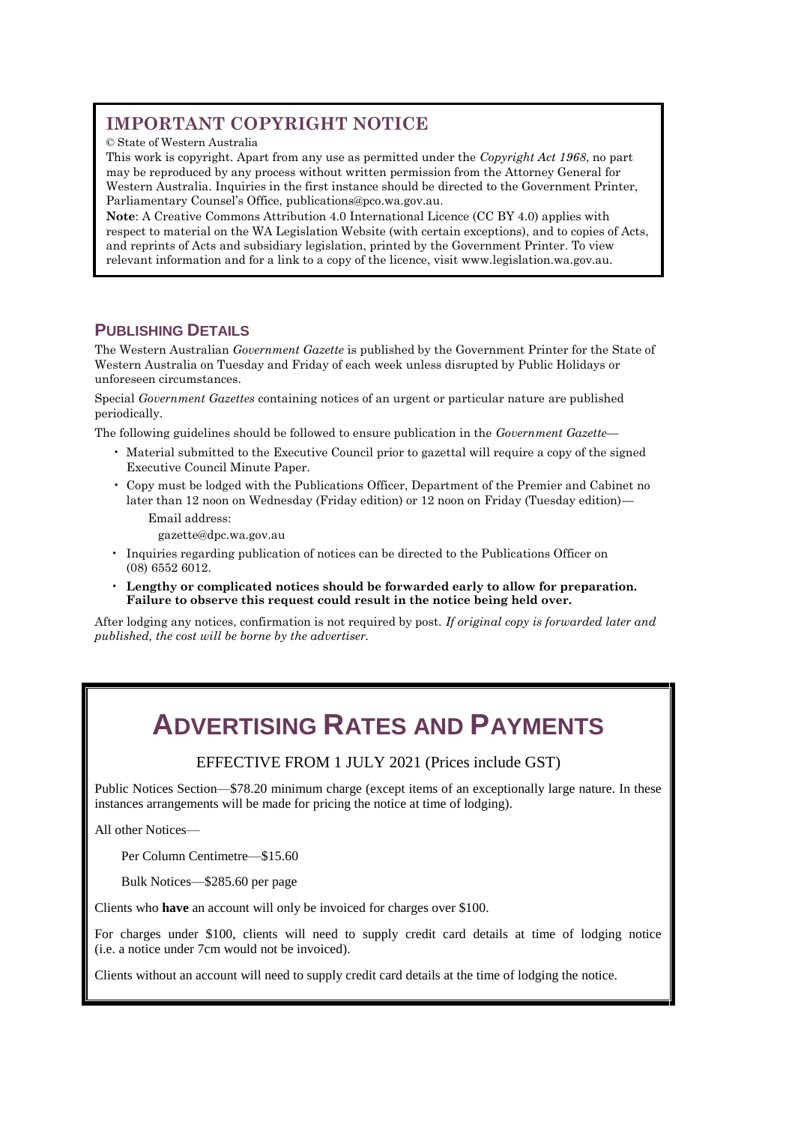## **IMPORTANT COPYRIGHT NOTICE**

© State of Western Australia

This work is copyright. Apart from any use as permitted under the *Copyright Act 1968*, no part may be reproduced by any process without written permission from the Attorney General for Western Australia. Inquiries in the first instance should be directed to the Government Printer, Parliamentary Counsel's Office, [publications@pco.wa.gov.au.](mailto:publications@pco.wa.gov.au)

**Note**: A Creative Commons Attribution 4.0 International Licence (CC BY 4.0) applies with respect to material on the WA Legislation Website (with certain exceptions), and to copies of Acts, and reprints of Acts and subsidiary legislation, printed by the Government Printer. To view relevant information and for a link to a copy of the licence, visit www.legislation.wa.gov.au.

## **PUBLISHING DETAILS**

The Western Australian *Government Gazette* is published by the Government Printer for the State of Western Australia on Tuesday and Friday of each week unless disrupted by Public Holidays or unforeseen circumstances.

Special *Government Gazettes* containing notices of an urgent or particular nature are published periodically.

The following guidelines should be followed to ensure publication in the *Government Gazette*—

- Material submitted to the Executive Council prior to gazettal will require a copy of the signed Executive Council Minute Paper.
- Copy must be lodged with the Publications Officer, Department of the Premier and Cabinet no later than 12 noon on Wednesday (Friday edition) or 12 noon on Friday (Tuesday edition)— Email address:

gazette@dpc.wa.gov.au

- Inquiries regarding publication of notices can be directed to the Publications Officer on (08) 6552 6012.
- **Lengthy or complicated notices should be forwarded early to allow for preparation. Failure to observe this request could result in the notice being held over.**

After lodging any notices, confirmation is not required by post. *If original copy is forwarded later and published, the cost will be borne by the advertiser.*

## **ADVERTISING RATES AND PAYMENTS**

EFFECTIVE FROM 1 JULY 2021 (Prices include GST)

Public Notices Section—\$78.20 minimum charge (except items of an exceptionally large nature. In these instances arrangements will be made for pricing the notice at time of lodging).

All other Notices—

Per Column Centimetre—\$15.60

Bulk Notices—\$285.60 per page

Clients who **have** an account will only be invoiced for charges over \$100.

For charges under \$100, clients will need to supply credit card details at time of lodging notice (i.e. a notice under 7cm would not be invoiced).

Clients without an account will need to supply credit card details at the time of lodging the notice.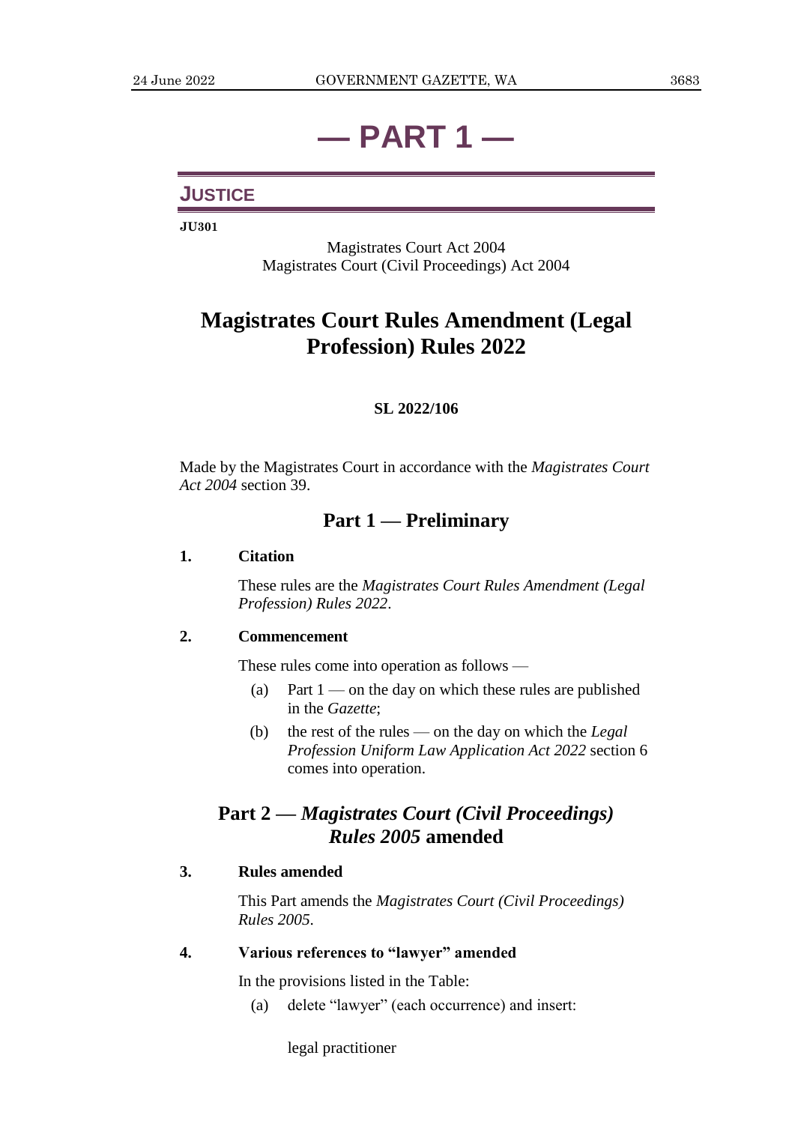# **— PART 1 —**

## **JUSTICE**

**JU301**

Magistrates Court Act 2004 Magistrates Court (Civil Proceedings) Act 2004

## **Magistrates Court Rules Amendment (Legal Profession) Rules 2022**

## **SL 2022/106**

Made by the Magistrates Court in accordance with the *Magistrates Court Act 2004* section 39.

## **Part 1 — Preliminary**

### **1. Citation**

These rules are the *Magistrates Court Rules Amendment (Legal Profession) Rules 2022*.

## **2. Commencement**

These rules come into operation as follows —

- (a) Part  $1$  on the day on which these rules are published in the *Gazette*;
- (b) the rest of the rules on the day on which the *Legal Profession Uniform Law Application Act 2022* section 6 comes into operation.

## **Part 2 —** *Magistrates Court (Civil Proceedings) Rules 2005* **amended**

## **3. Rules amended**

This Part amends the *Magistrates Court (Civil Proceedings) Rules 2005*.

### **4. Various references to "lawyer" amended**

In the provisions listed in the Table:

(a) delete "lawyer" (each occurrence) and insert:

legal practitioner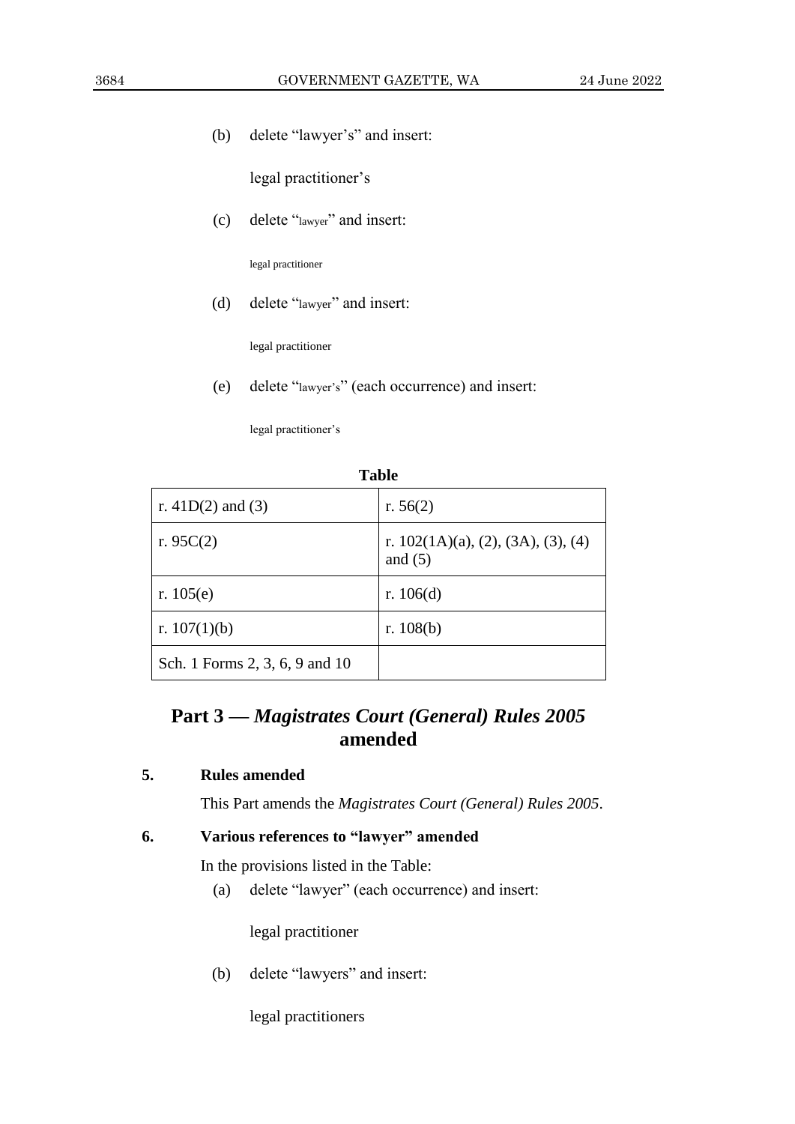(b) delete "lawyer's" and insert:

legal practitioner's

(c) delete "lawyer" and insert:

legal practitioner

(d) delete "lawyer" and insert:

legal practitioner

(e) delete "lawyer's" (each occurrence) and insert:

legal practitioner's

| r. $41D(2)$ and (3)            | r. $56(2)$                                                    |
|--------------------------------|---------------------------------------------------------------|
| r. $95C(2)$                    | r. $102(1A)(a)$ , $(2)$ , $(3A)$ , $(3)$ , $(4)$<br>and $(5)$ |
| r. $105(e)$                    | r. $106(d)$                                                   |
| r. $107(1)(b)$                 | r. $108(b)$                                                   |
| Sch. 1 Forms 2, 3, 6, 9 and 10 |                                                               |

**Table**

## **Part 3 —** *Magistrates Court (General) Rules 2005* **amended**

## **5. Rules amended**

This Part amends the *Magistrates Court (General) Rules 2005*.

## **6. Various references to "lawyer" amended**

In the provisions listed in the Table:

(a) delete "lawyer" (each occurrence) and insert:

legal practitioner

(b) delete "lawyers" and insert:

legal practitioners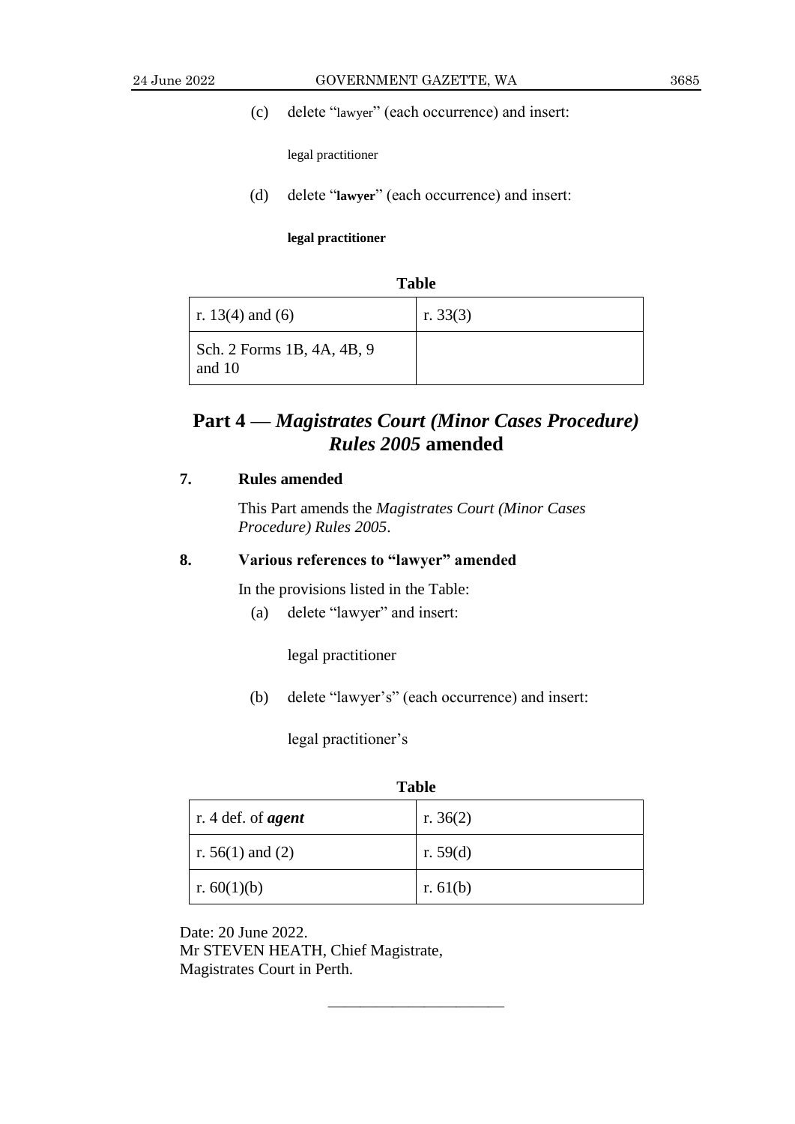(c) delete "lawyer" (each occurrence) and insert:

legal practitioner

(d) delete "**lawyer**" (each occurrence) and insert:

**legal practitioner**

| <b>Table</b>                         |            |  |
|--------------------------------------|------------|--|
| r. 13(4) and (6)                     | r. $33(3)$ |  |
| Sch. 2 Forms 1B, 4A, 4B, 9<br>and 10 |            |  |

## **Part 4 —** *Magistrates Court (Minor Cases Procedure) Rules 2005* **amended**

## **7. Rules amended**

This Part amends the *Magistrates Court (Minor Cases Procedure) Rules 2005*.

## **8. Various references to "lawyer" amended**

In the provisions listed in the Table:

(a) delete "lawyer" and insert:

legal practitioner

(b) delete "lawyer's" (each occurrence) and insert:

legal practitioner's

| <b>Table</b>                      |            |  |
|-----------------------------------|------------|--|
| $\vert$ r. 4 def. of <i>agent</i> | r. $36(2)$ |  |
| $\vert$ r. 56(1) and (2)          | r. $59(d)$ |  |
| r. $60(1)(b)$                     | r. $61(b)$ |  |

 $\frac{1}{\sqrt{2}}$  , and the set of the set of the set of the set of the set of the set of the set of the set of the set of the set of the set of the set of the set of the set of the set of the set of the set of the set of the

Date: 20 June 2022. Mr STEVEN HEATH, Chief Magistrate, Magistrates Court in Perth.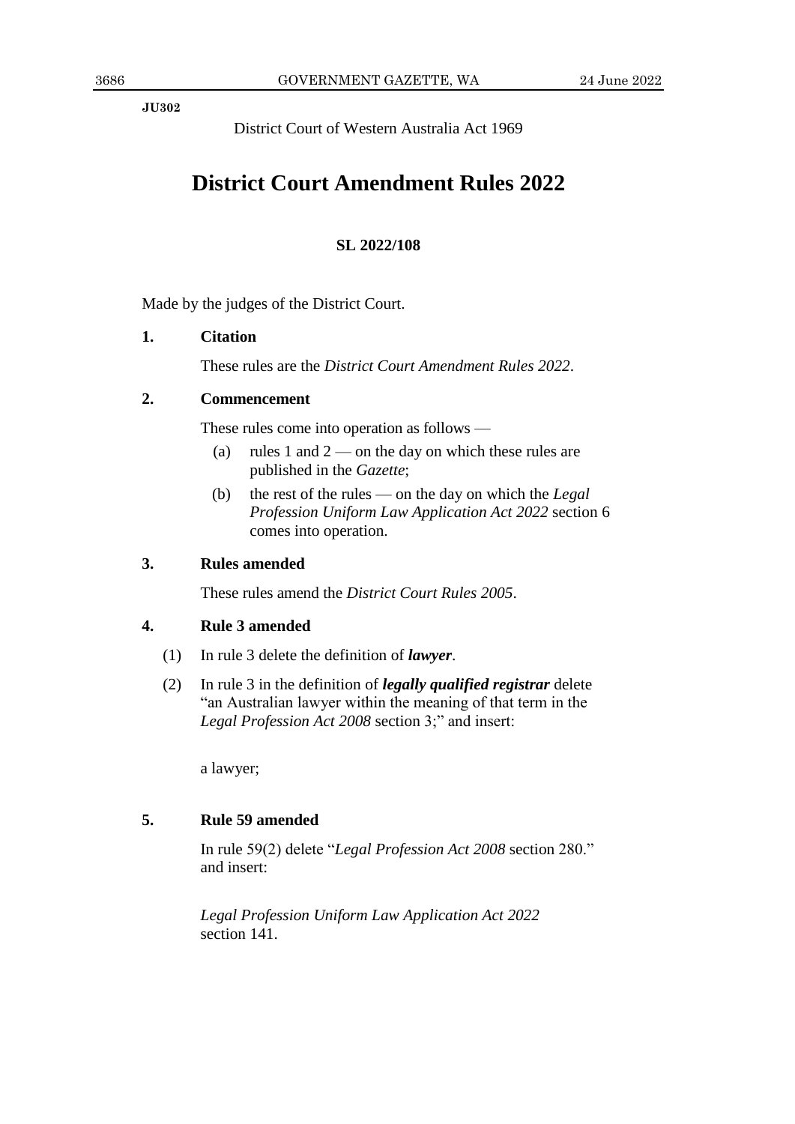**JU302**

District Court of Western Australia Act 1969

## **District Court Amendment Rules 2022**

## **SL 2022/108**

Made by the judges of the District Court.

## **1. Citation**

These rules are the *District Court Amendment Rules 2022*.

## **2. Commencement**

These rules come into operation as follows —

- (a) rules 1 and  $2$  on the day on which these rules are published in the *Gazette*;
- (b) the rest of the rules on the day on which the *Legal Profession Uniform Law Application Act 2022* section 6 comes into operation.

## **3. Rules amended**

These rules amend the *District Court Rules 2005*.

## **4. Rule 3 amended**

- (1) In rule 3 delete the definition of *lawyer*.
- (2) In rule 3 in the definition of *legally qualified registrar* delete "an Australian lawyer within the meaning of that term in the *Legal Profession Act 2008* section 3;" and insert:

a lawyer;

## **5. Rule 59 amended**

In rule 59(2) delete "*Legal Profession Act 2008* section 280." and insert:

*Legal Profession Uniform Law Application Act 2022* section 141.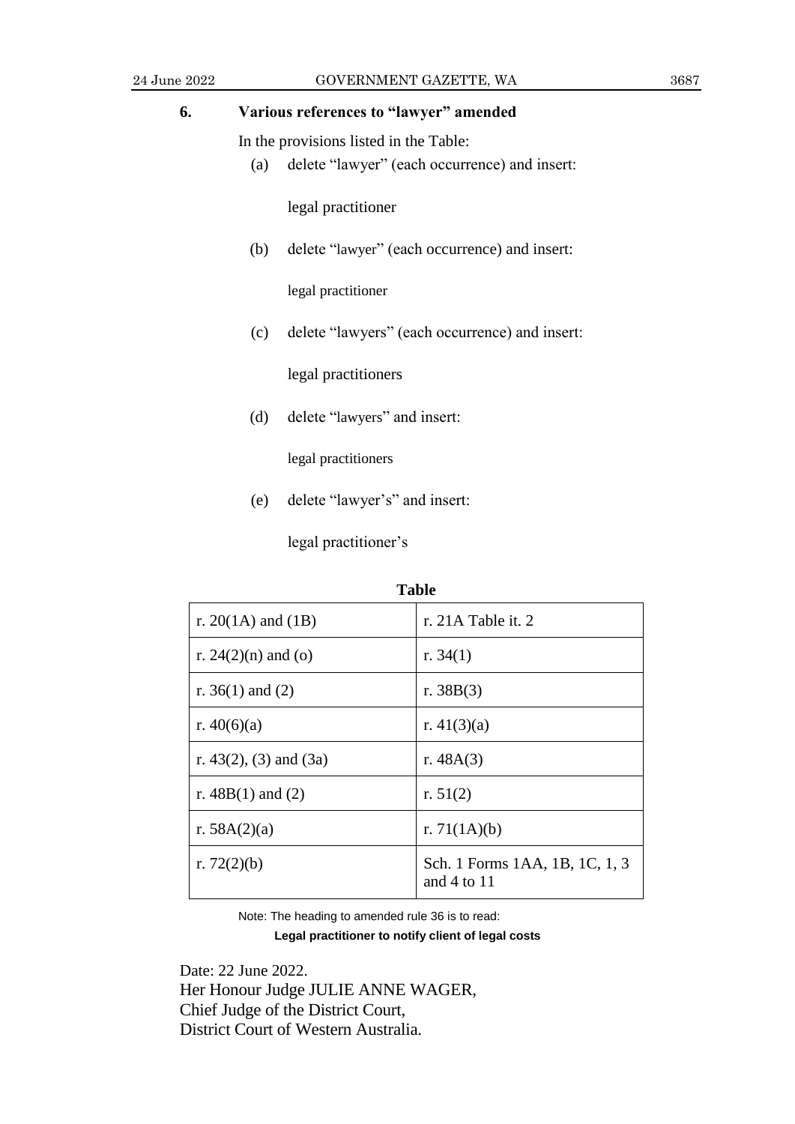## **6. Various references to "lawyer" amended**

In the provisions listed in the Table:

(a) delete "lawyer" (each occurrence) and insert:

legal practitioner

(b) delete "lawyer" (each occurrence) and insert:

legal practitioner

(c) delete "lawyers" (each occurrence) and insert:

legal practitioners

(d) delete "lawyers" and insert:

legal practitioners

(e) delete "lawyer's" and insert:

legal practitioner's

| <b>Table</b>                   |                                                   |  |
|--------------------------------|---------------------------------------------------|--|
| r. 20(1A) and (1B)             | r. 21A Table it. 2                                |  |
| r. $24(2)(n)$ and (o)          | r. $34(1)$                                        |  |
| r. $36(1)$ and (2)             | r. $38B(3)$                                       |  |
| r. $40(6)(a)$                  | r. $41(3)(a)$                                     |  |
| r. 43 $(2)$ , $(3)$ and $(3a)$ | r. $48A(3)$                                       |  |
| r. $48B(1)$ and (2)            | r. $51(2)$                                        |  |
| r. $58A(2)(a)$                 | r. $71(1A)(b)$                                    |  |
| r. $72(2)(b)$                  | Sch. 1 Forms 1AA, 1B, 1C, 1, 3<br>and $4$ to $11$ |  |

Note: The heading to amended rule 36 is to read:

**Legal practitioner to notify client of legal costs**

Date: 22 June 2022. Her Honour Judge JULIE ANNE WAGER, Chief Judge of the District Court, District Court of Western Australia.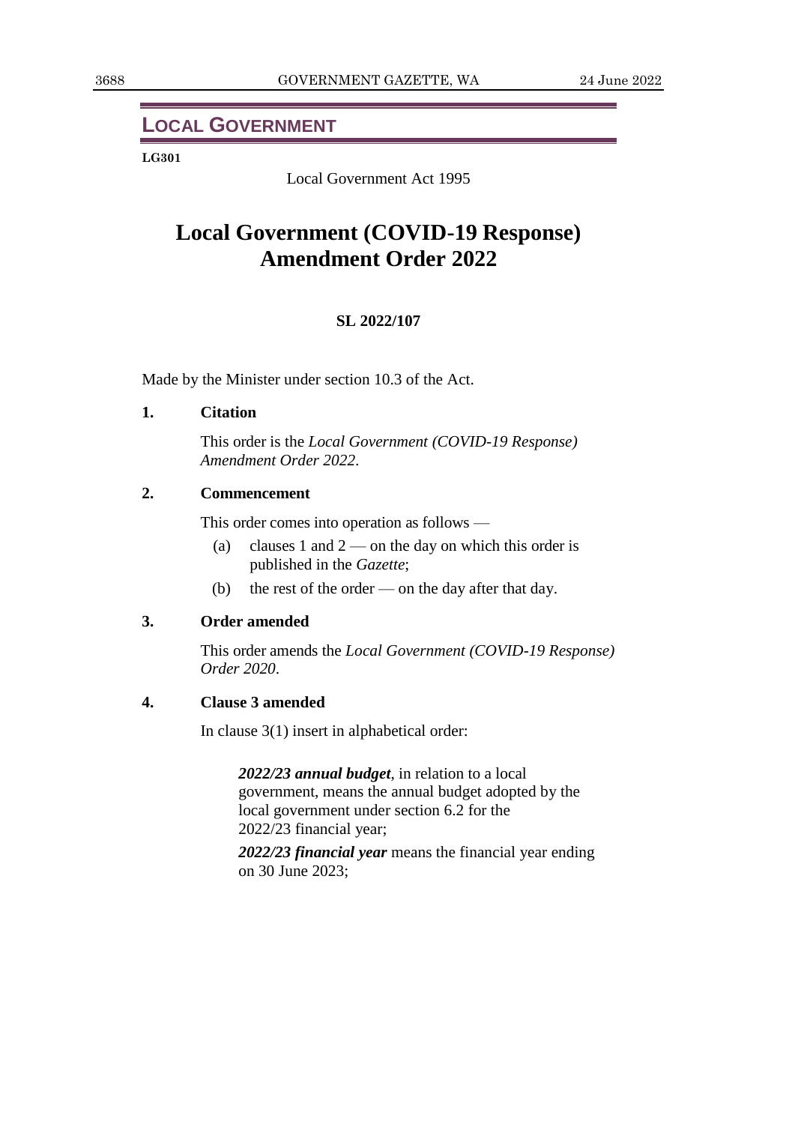## **LOCAL GOVERNMENT**

#### **LG301**

Local Government Act 1995

## **Local Government (COVID-19 Response) Amendment Order 2022**

### **SL 2022/107**

Made by the Minister under section 10.3 of the Act.

### **1. Citation**

This order is the *Local Government (COVID-19 Response) Amendment Order 2022*.

## **2. Commencement**

This order comes into operation as follows —

- (a) clauses 1 and  $2$  on the day on which this order is published in the *Gazette*;
- (b) the rest of the order on the day after that day.

### **3. Order amended**

This order amends the *Local Government (COVID-19 Response) Order 2020*.

### **4. Clause 3 amended**

In clause 3(1) insert in alphabetical order:

*2022/23 annual budget*, in relation to a local government, means the annual budget adopted by the local government under section 6.2 for the 2022/23 financial year;

*2022/23 financial year* means the financial year ending on 30 June 2023;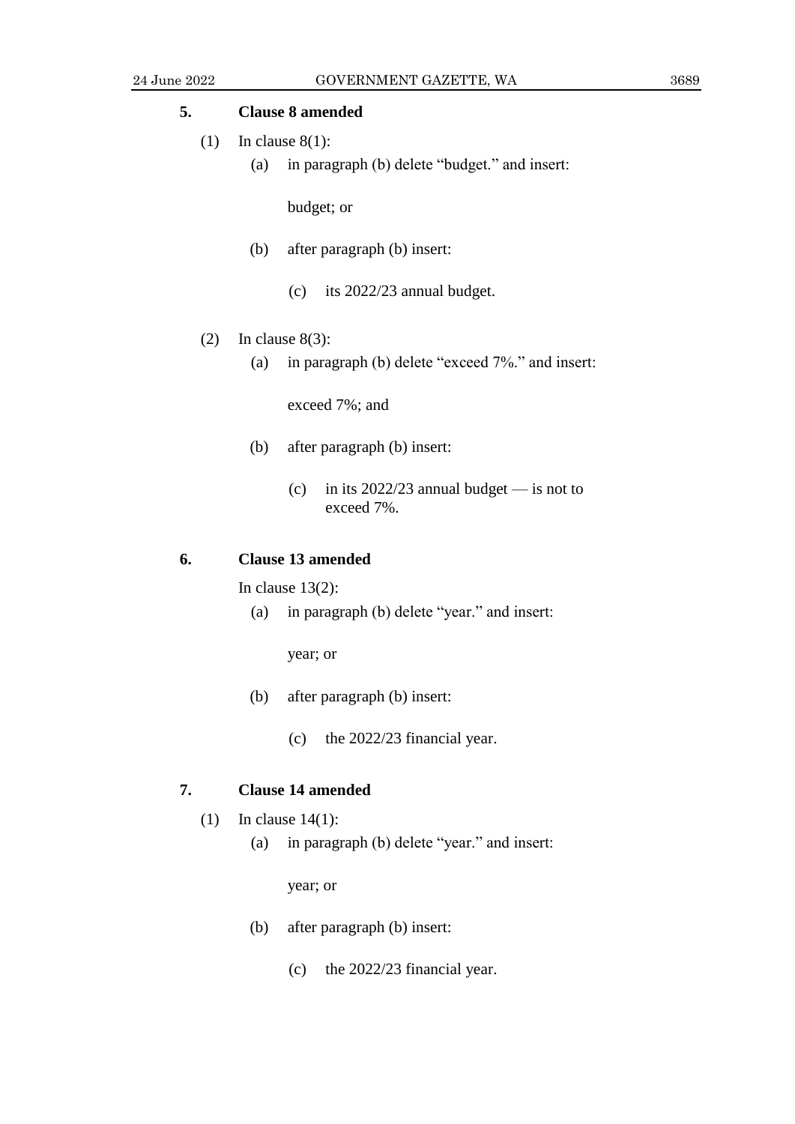## **5. Clause 8 amended**

- (1) In clause  $8(1)$ :
	- (a) in paragraph (b) delete "budget." and insert:

budget; or

- (b) after paragraph (b) insert:
	- (c) its 2022/23 annual budget.
- (2) In clause  $8(3)$ :
	- (a) in paragraph (b) delete "exceed 7%." and insert:

exceed 7%; and

- (b) after paragraph (b) insert:
	- (c) in its  $2022/23$  annual budget is not to exceed 7%.

### **6. Clause 13 amended**

In clause  $13(2)$ :

(a) in paragraph (b) delete "year." and insert:

year; or

- (b) after paragraph (b) insert:
	- (c) the 2022/23 financial year.

## **7. Clause 14 amended**

- (1) In clause 14(1):
	- (a) in paragraph (b) delete "year." and insert:

year; or

- (b) after paragraph (b) insert:
	- (c) the 2022/23 financial year.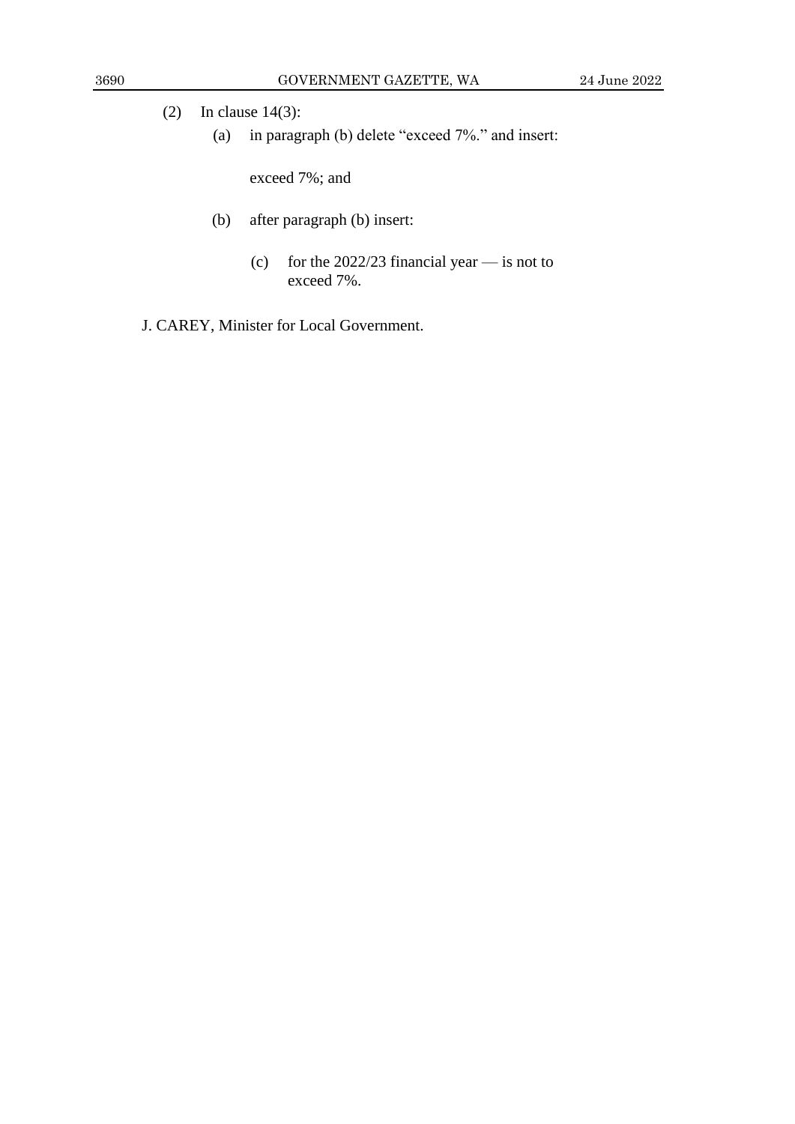- (2) In clause 14(3):
	- (a) in paragraph (b) delete "exceed 7%." and insert:

exceed 7%; and

- (b) after paragraph (b) insert:
	- (c) for the  $2022/23$  financial year is not to exceed 7%.
- J. CAREY, Minister for Local Government.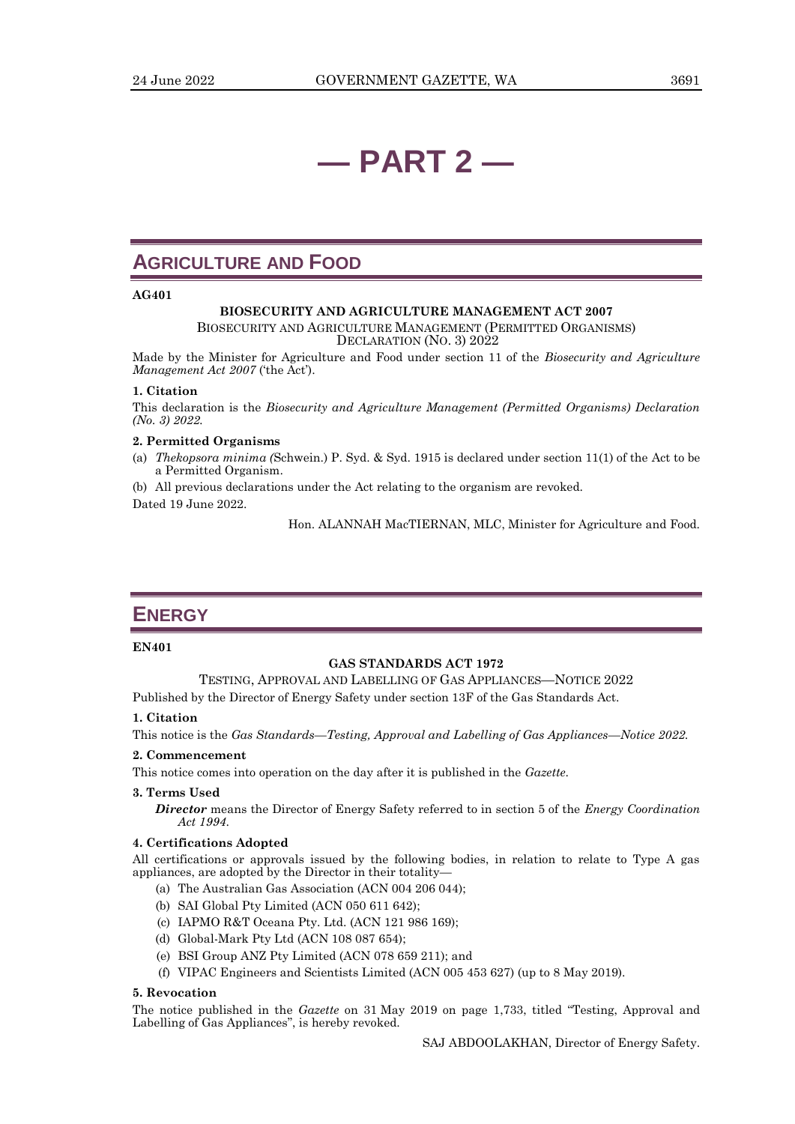## **— PART 2 —**

## **AGRICULTURE AND FOOD**

#### **AG401**

#### **BIOSECURITY AND AGRICULTURE MANAGEMENT ACT 2007**

BIOSECURITY AND AGRICULTURE MANAGEMENT (PERMITTED ORGANISMS) DECLARATION (NO. 3) 2022

Made by the Minister for Agriculture and Food under section 11 of the *Biosecurity and Agriculture Management Act 2007* ('the Act').

#### **1. Citation**

This declaration is the *Biosecurity and Agriculture Management (Permitted Organisms) Declaration (No. 3) 2022.*

#### **2. Permitted Organisms**

(a) *Thekopsora minima (*Schwein.) P. Syd. & Syd. 1915 is declared under section 11(1) of the Act to be a Permitted Organism.

(b) All previous declarations under the Act relating to the organism are revoked. Dated 19 June 2022.

Hon. ALANNAH MacTIERNAN, MLC, Minister for Agriculture and Food.

## **ENERGY**

#### **EN401**

#### **GAS STANDARDS ACT 1972**

TESTING, APPROVAL AND LABELLING OF GAS APPLIANCES—NOTICE 2022

Published by the Director of Energy Safety under section 13F of the Gas Standards Act.

#### **1. Citation**

This notice is the *Gas Standards—Testing, Approval and Labelling of Gas Appliances—Notice 2022.*

#### **2. Commencement**

This notice comes into operation on the day after it is published in the *Gazette*.

#### **3. Terms Used**

*Director* means the Director of Energy Safety referred to in section 5 of the *Energy Coordination Act 1994*.

#### **4. Certifications Adopted**

All certifications or approvals issued by the following bodies, in relation to relate to Type A gas appliances, are adopted by the Director in their totality—

- (a) The Australian Gas Association (ACN 004 206 044);
- (b) SAI Global Pty Limited (ACN 050 611 642);
- (c) IAPMO R&T Oceana Pty. Ltd. (ACN 121 986 169);
- (d) Global-Mark Pty Ltd (ACN 108 087 654);
- (e) BSI Group ANZ Pty Limited (ACN 078 659 211); and
- (f) VIPAC Engineers and Scientists Limited (ACN 005 453 627) (up to 8 May 2019).

#### **5. Revocation**

The notice published in the *Gazette* on 31 May 2019 on page 1,733, titled "Testing, Approval and Labelling of Gas Appliances", is hereby revoked.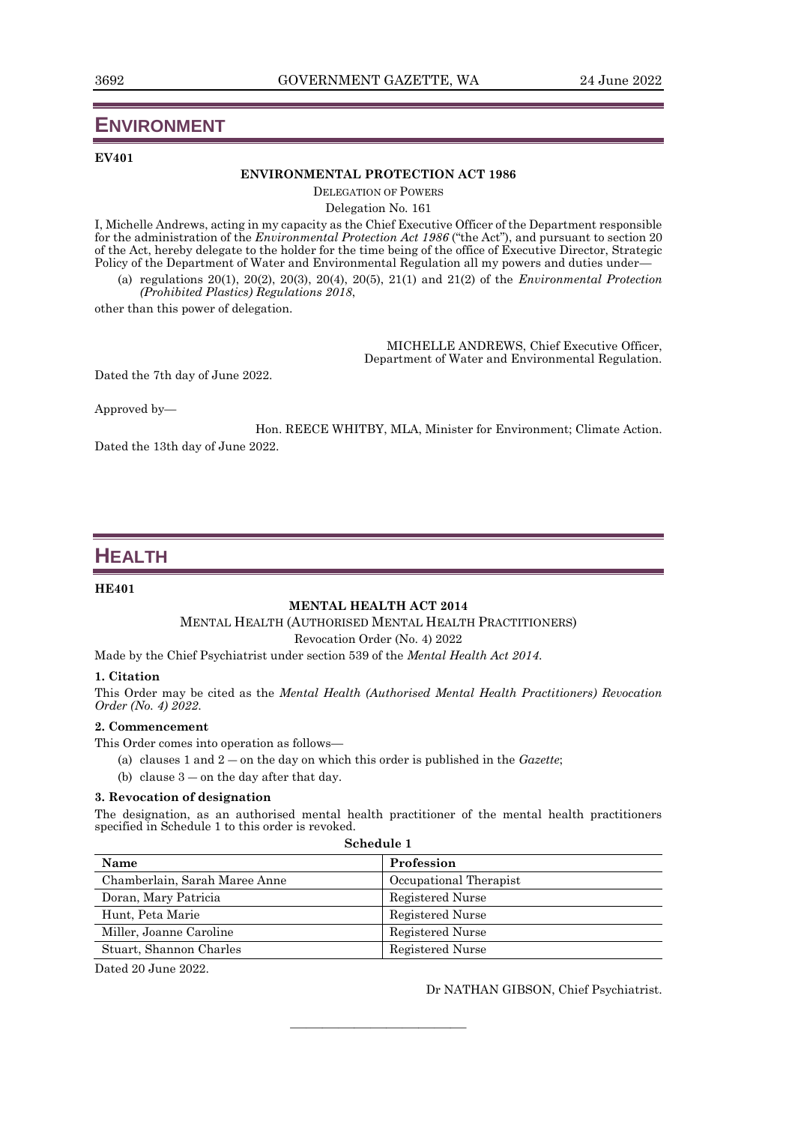## **ENVIRONMENT**

#### **EV401**

#### **ENVIRONMENTAL PROTECTION ACT 1986**

DELEGATION OF POWERS

Delegation No. 161

I, Michelle Andrews, acting in my capacity as the Chief Executive Officer of the Department responsible for the administration of the *Environmental Protection Act 1986* ("the Act"), and pursuant to section 20 of the Act, hereby delegate to the holder for the time being of the office of Executive Director, Strategic Policy of the Department of Water and Environmental Regulation all my powers and duties under—

(a) regulations 20(1), 20(2), 20(3), 20(4), 20(5), 21(1) and 21(2) of the *Environmental Protection (Prohibited Plastics) Regulations 2018*,

other than this power of delegation.

MICHELLE ANDREWS, Chief Executive Officer, Department of Water and Environmental Regulation.

Dated the 7th day of June 2022.

Approved by—

Hon. REECE WHITBY, MLA, Minister for Environment; Climate Action. Dated the 13th day of June 2022.

## **HEALTH**

#### **HE401**

#### **MENTAL HEALTH ACT 2014**

MENTAL HEALTH (AUTHORISED MENTAL HEALTH PRACTITIONERS)

Revocation Order (No. 4) 2022

Made by the Chief Psychiatrist under section 539 of the *Mental Health Act 2014*.

#### **1. Citation**

This Order may be cited as the *Mental Health (Authorised Mental Health Practitioners) Revocation Order (No. 4) 2022*.

#### **2. Commencement**

This Order comes into operation as follows—

- (a) clauses 1 and 2 ― on the day on which this order is published in the *Gazette*;
- (b) clause  $3 -$  on the day after that day.

#### **3. Revocation of designation**

The designation, as an authorised mental health practitioner of the mental health practitioners specified in Schedule 1 to this order is revoked. **Schedule 1**

| weneune 1                     |                        |  |
|-------------------------------|------------------------|--|
| <b>Name</b>                   | Profession             |  |
| Chamberlain, Sarah Maree Anne | Occupational Therapist |  |
| Doran, Mary Patricia          | Registered Nurse       |  |
| Hunt, Peta Marie              | Registered Nurse       |  |
| Miller, Joanne Caroline       | Registered Nurse       |  |
| Stuart, Shannon Charles       | Registered Nurse       |  |

 $\frac{1}{\sqrt{2}}$  , and the set of the set of the set of the set of the set of the set of the set of the set of the set of the set of the set of the set of the set of the set of the set of the set of the set of the set of the

Dated 20 June 2022.

Dr NATHAN GIBSON, Chief Psychiatrist.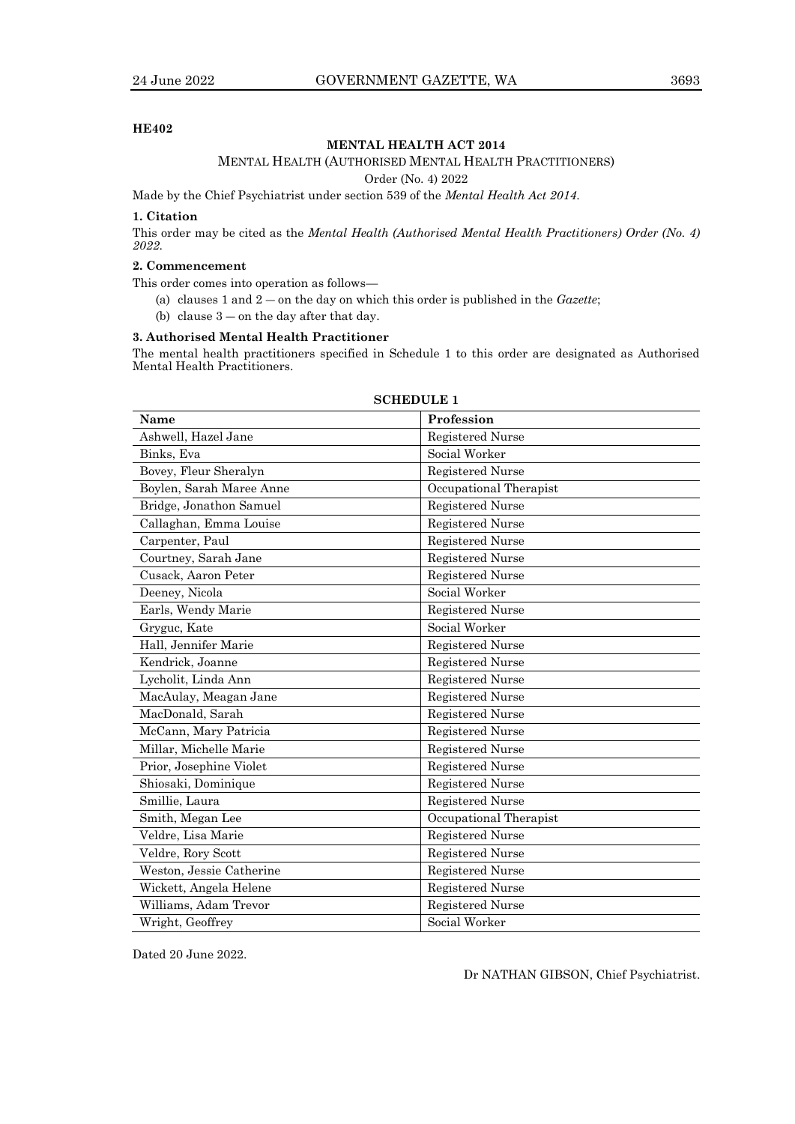#### **HE402**

#### **MENTAL HEALTH ACT 2014**

#### MENTAL HEALTH (AUTHORISED MENTAL HEALTH PRACTITIONERS)

Order (No. 4) 2022

Made by the Chief Psychiatrist under section 539 of the *Mental Health Act 2014*.

#### **1. Citation**

This order may be cited as the *Mental Health (Authorised Mental Health Practitioners) Order (No. 4) 2022*.

#### **2. Commencement**

This order comes into operation as follows—

- (a) clauses 1 and 2 ― on the day on which this order is published in the *Gazette*;
- (b) clause  $3$  on the day after that day.

#### **3. Authorised Mental Health Practitioner**

The mental health practitioners specified in Schedule 1 to this order are designated as Authorised Mental Health Practitioners.

| Name                     | Profession              |
|--------------------------|-------------------------|
| Ashwell, Hazel Jane      | Registered Nurse        |
| Binks, Eva               | Social Worker           |
| Bovey, Fleur Sheralyn    | Registered Nurse        |
| Boylen, Sarah Maree Anne | Occupational Therapist  |
| Bridge, Jonathon Samuel  | <b>Registered Nurse</b> |
| Callaghan, Emma Louise   | Registered Nurse        |
| Carpenter, Paul          | <b>Registered Nurse</b> |
| Courtney, Sarah Jane     | <b>Registered Nurse</b> |
| Cusack, Aaron Peter      | Registered Nurse        |
| Deeney, Nicola           | Social Worker           |
| Earls, Wendy Marie       | <b>Registered Nurse</b> |
| Gryguc, Kate             | Social Worker           |
| Hall, Jennifer Marie     | Registered Nurse        |
| Kendrick, Joanne         | <b>Registered Nurse</b> |
| Lycholit, Linda Ann      | Registered Nurse        |
| MacAulay, Meagan Jane    | <b>Registered Nurse</b> |
| MacDonald, Sarah         | Registered Nurse        |
| McCann, Mary Patricia    | Registered Nurse        |
| Millar, Michelle Marie   | Registered Nurse        |
| Prior, Josephine Violet  | <b>Registered Nurse</b> |
| Shiosaki, Dominique      | Registered Nurse        |
| Smillie, Laura           | <b>Registered Nurse</b> |
| Smith, Megan Lee         | Occupational Therapist  |
| Veldre, Lisa Marie       | <b>Registered Nurse</b> |
| Veldre, Rory Scott       | <b>Registered Nurse</b> |
| Weston, Jessie Catherine | <b>Registered Nurse</b> |
| Wickett, Angela Helene   | Registered Nurse        |
| Williams, Adam Trevor    | <b>Registered Nurse</b> |
| Wright, Geoffrey         | Social Worker           |

#### **SCHEDULE 1**

Dated 20 June 2022.

Dr NATHAN GIBSON, Chief Psychiatrist.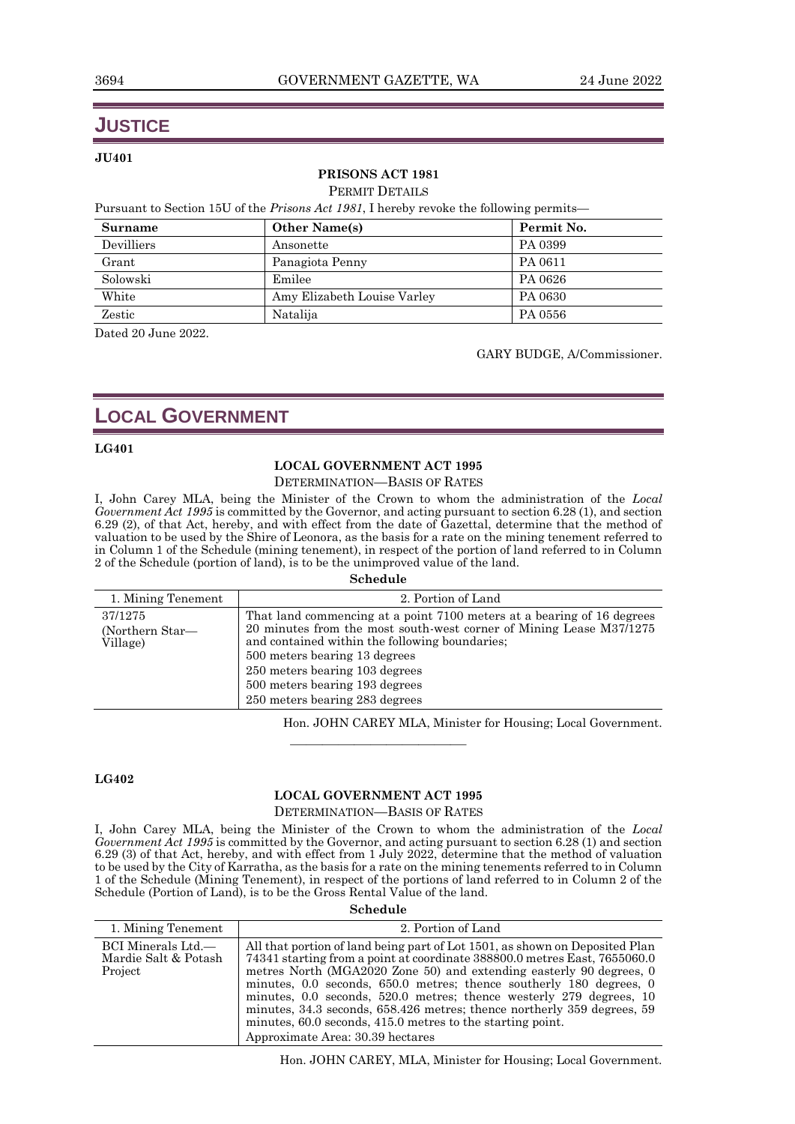## **JUSTICE**

#### **JU401**

#### **PRISONS ACT 1981**

PERMIT DETAILS

Pursuant to Section 15U of the *Prisons Act 1981*, I hereby revoke the following permits—

| Surname    | <b>Other Name(s)</b>        | Permit No. |
|------------|-----------------------------|------------|
| Devilliers | Ansonette                   | PA 0399    |
| Grant      | Panagiota Penny             | PA 0611    |
| Solowski   | Emilee                      | PA 0626    |
| White      | Amy Elizabeth Louise Varley | PA 0630    |
| Zestic     | Natalija                    | PA 0556    |

Dated 20 June 2022.

GARY BUDGE, A/Commissioner.

## **LOCAL GOVERNMENT**

#### **LG401**

#### **LOCAL GOVERNMENT ACT 1995**

DETERMINATION—BASIS OF RATES

I, John Carey MLA, being the Minister of the Crown to whom the administration of the *Local Government Act 1995* is committed by the Governor, and acting pursuant to section 6.28 (1), and section 6.29 (2), of that Act, hereby, and with effect from the date of Gazettal, determine that the method of valuation to be used by the Shire of Leonora, as the basis for a rate on the mining tenement referred to in Column 1 of the Schedule (mining tenement), in respect of the portion of land referred to in Column 2 of the Schedule (portion of land), is to be the unimproved value of the land.

#### **Schedule**

| 1. Mining Tenement                     | 2. Portion of Land                                                                                                                                                                                                                                                                                                                     |
|----------------------------------------|----------------------------------------------------------------------------------------------------------------------------------------------------------------------------------------------------------------------------------------------------------------------------------------------------------------------------------------|
| 37/1275<br>(Northern Star—<br>Village) | That land commencing at a point 7100 meters at a bearing of 16 degrees<br>20 minutes from the most south-west corner of Mining Lease M37/1275<br>and contained within the following boundaries:<br>500 meters bearing 13 degrees<br>250 meters bearing 103 degrees<br>500 meters bearing 193 degrees<br>250 meters bearing 283 degrees |

Hon. JOHN CAREY MLA, Minister for Housing; Local Government.

#### **LG402**

#### **LOCAL GOVERNMENT ACT 1995**

 $\frac{1}{\sqrt{2}}$  , and the set of the set of the set of the set of the set of the set of the set of the set of the set of the set of the set of the set of the set of the set of the set of the set of the set of the set of the

#### DETERMINATION—BASIS OF RATES

I, John Carey MLA, being the Minister of the Crown to whom the administration of the *Local Government Act 1995* is committed by the Governor, and acting pursuant to section 6.28 (1) and section 6.29 (3) of that Act, hereby, and with effect from 1 July 2022, determine that the method of valuation to be used by the City of Karratha, as the basis for a rate on the mining tenements referred to in Column 1 of the Schedule (Mining Tenement), in respect of the portions of land referred to in Column 2 of the Schedule (Portion of Land), is to be the Gross Rental Value of the land.

#### **Schedule**

| 1. Mining Tenement                                    | 2. Portion of Land                                                                                                                                                                                                                                                                                                                                                                                                                                                                                                                                         |
|-------------------------------------------------------|------------------------------------------------------------------------------------------------------------------------------------------------------------------------------------------------------------------------------------------------------------------------------------------------------------------------------------------------------------------------------------------------------------------------------------------------------------------------------------------------------------------------------------------------------------|
| BCI Minerals Ltd.—<br>Mardie Salt & Potash<br>Project | All that portion of land being part of Lot 1501, as shown on Deposited Plan<br>74341 starting from a point at coordinate 388800.0 metres East, 7655060.0<br>metres North (MGA2020 Zone 50) and extending easterly 90 degrees, 0<br>minutes, 0.0 seconds, 650.0 metres; thence southerly 180 degrees, 0<br>minutes, 0.0 seconds, 520.0 metres; thence westerly 279 degrees, 10<br>minutes, 34.3 seconds, 658.426 metres; thence northerly 359 degrees, 59<br>minutes, 60.0 seconds, 415.0 metres to the starting point.<br>Approximate Area: 30.39 hectares |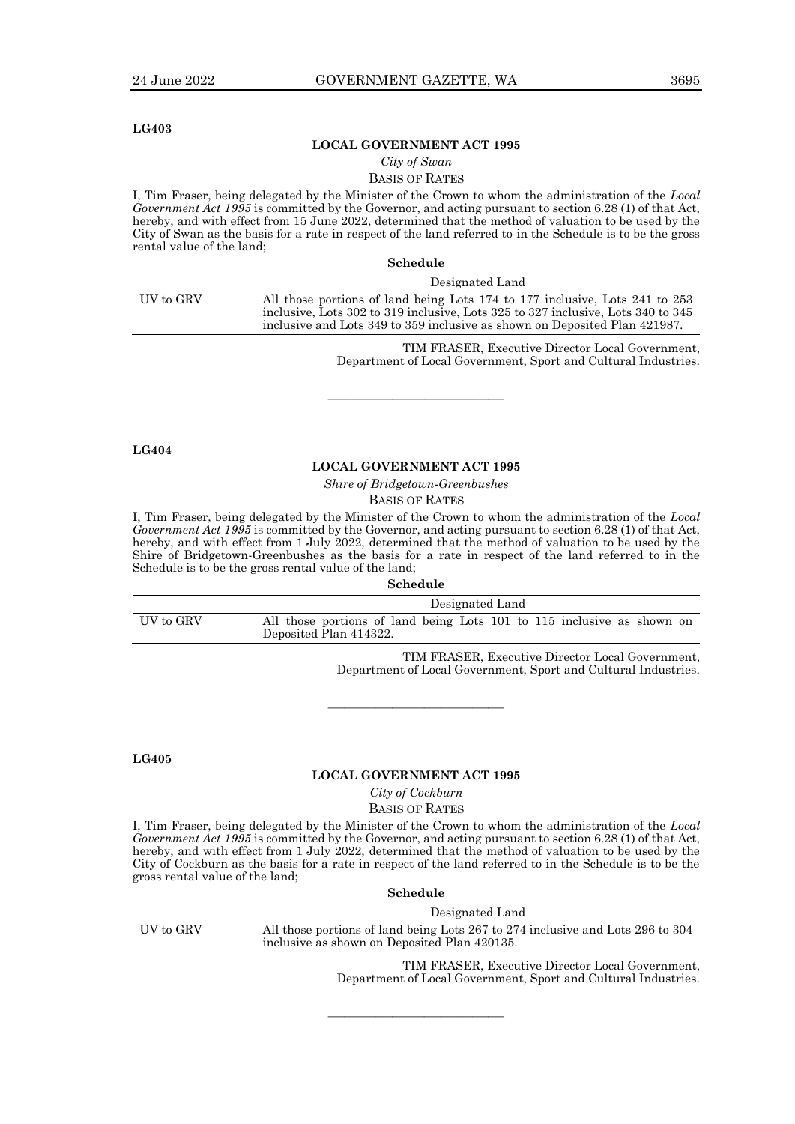#### **LG403**

#### **LOCAL GOVERNMENT ACT 1995**

*City of Swan*

#### BASIS OF RATES

I, Tim Fraser, being delegated by the Minister of the Crown to whom the administration of the *Local Government Act 1995* is committed by the Governor, and acting pursuant to section 6.28 (1) of that Act, hereby, and with effect from 15 June 2022, determined that the method of valuation to be used by the City of Swan as the basis for a rate in respect of the land referred to in the Schedule is to be the gross rental value of the land;

| Schedule |  |
|----------|--|
|          |  |

|           | Designated Land                                                                                                                                                                                                                               |
|-----------|-----------------------------------------------------------------------------------------------------------------------------------------------------------------------------------------------------------------------------------------------|
| UV to GRV | All those portions of land being Lots 174 to 177 inclusive, Lots 241 to 253<br>inclusive, Lots 302 to 319 inclusive, Lots 325 to 327 inclusive, Lots 340 to 345<br>inclusive and Lots 349 to 359 inclusive as shown on Deposited Plan 421987. |

TIM FRASER, Executive Director Local Government, Department of Local Government, Sport and Cultural Industries.

**LG404**

#### **LOCAL GOVERNMENT ACT 1995**

 $\overline{\phantom{a}}$  , and the set of the set of the set of the set of the set of the set of the set of the set of the set of the set of the set of the set of the set of the set of the set of the set of the set of the set of the s

*Shire of Bridgetown-Greenbushes*

BASIS OF RATES

I, Tim Fraser, being delegated by the Minister of the Crown to whom the administration of the *Local Government Act 1995* is committed by the Governor, and acting pursuant to section 6.28 (1) of that Act, hereby, and with effect from 1 July 2022, determined that the method of valuation to be used by the Shire of Bridgetown-Greenbushes as the basis for a rate in respect of the land referred to in the Schedule is to be the gross rental value of the land;

**Schedule**

|           | Designated Land                                                                                  |  |
|-----------|--------------------------------------------------------------------------------------------------|--|
| UV to GRV | All those portions of land being Lots 101 to 115 inclusive as shown on<br>Deposited Plan 414322. |  |

TIM FRASER, Executive Director Local Government, Department of Local Government, Sport and Cultural Industries.

**LG405**

#### **LOCAL GOVERNMENT ACT 1995**

————————————————————

*City of Cockburn* BASIS OF RATES

I, Tim Fraser, being delegated by the Minister of the Crown to whom the administration of the *Local Government Act 1995* is committed by the Governor, and acting pursuant to section 6.28 (1) of that Act, hereby, and with effect from 1 July 2022, determined that the method of valuation to be used by the City of Cockburn as the basis for a rate in respect of the land referred to in the Schedule is to be the gross rental value of the land;

**Schedule**

|           | Designated Land                                                                                                                |
|-----------|--------------------------------------------------------------------------------------------------------------------------------|
| UV to GRV | All those portions of land being Lots 267 to 274 inclusive and Lots 296 to 304<br>inclusive as shown on Deposited Plan 420135. |

 $\frac{1}{\sqrt{2}}$  , and the set of the set of the set of the set of the set of the set of the set of the set of the set of the set of the set of the set of the set of the set of the set of the set of the set of the set of the

TIM FRASER, Executive Director Local Government, Department of Local Government, Sport and Cultural Industries.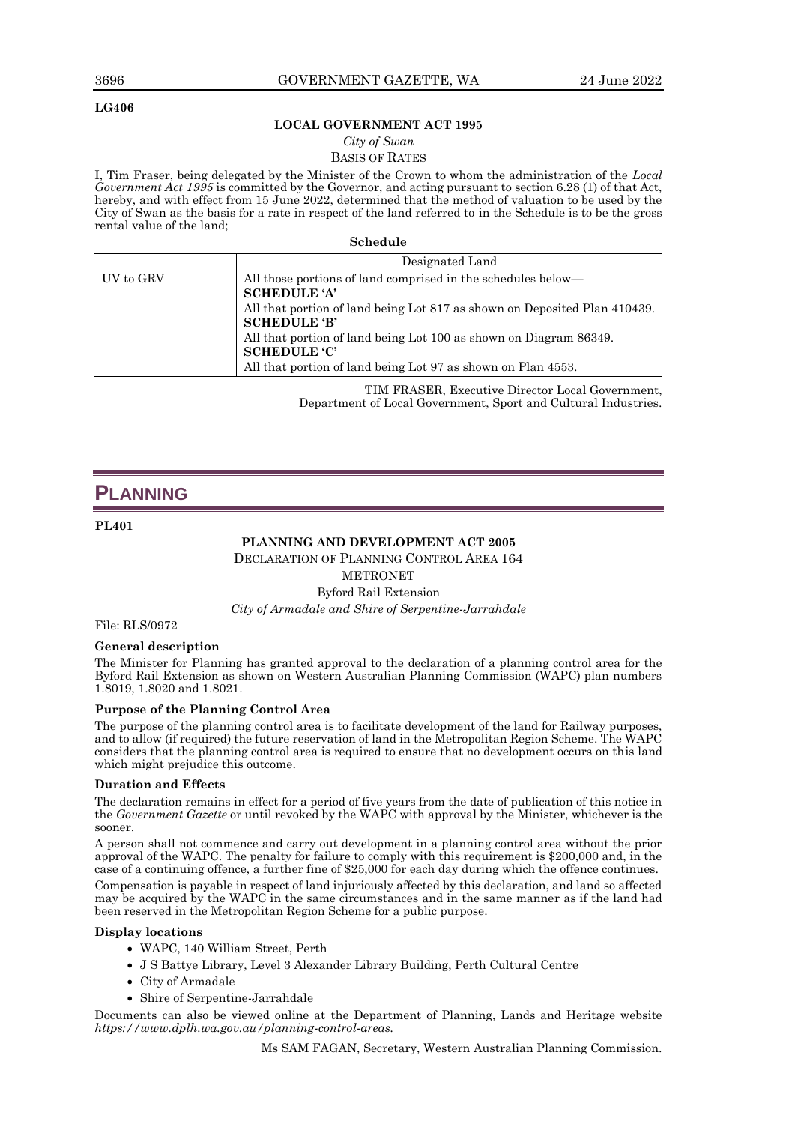#### **LG406**

#### **LOCAL GOVERNMENT ACT 1995**

*City of Swan*

BASIS OF RATES

I, Tim Fraser, being delegated by the Minister of the Crown to whom the administration of the *Local Government Act 1995* is committed by the Governor, and acting pursuant to section 6.28 (1) of that Act, hereby, and with effect from 15 June 2022, determined that the method of valuation to be used by the City of Swan as the basis for a rate in respect of the land referred to in the Schedule is to be the gross rental value of the land;

**Schedule**

|           | Designated Land                                                                                                                                                                                                                                                                                                                                     |
|-----------|-----------------------------------------------------------------------------------------------------------------------------------------------------------------------------------------------------------------------------------------------------------------------------------------------------------------------------------------------------|
| UV to GRV | All those portions of land comprised in the schedules below—<br><b>SCHEDULE 'A'</b><br>All that portion of land being Lot 817 as shown on Deposited Plan 410439.<br><b>SCHEDULE 'B'</b><br>All that portion of land being Lot 100 as shown on Diagram 86349.<br><b>SCHEDULE 'C'</b><br>All that portion of land being Lot 97 as shown on Plan 4553. |
|           |                                                                                                                                                                                                                                                                                                                                                     |

TIM FRASER, Executive Director Local Government, Department of Local Government, Sport and Cultural Industries.

## **PLANNING**

#### **PL401**

#### **PLANNING AND DEVELOPMENT ACT 2005**

DECLARATION OF PLANNING CONTROL AREA 164

**METRONET** 

Byford Rail Extension

*City of Armadale and Shire of Serpentine-Jarrahdale*

#### File: RLS/0972

#### **General description**

The Minister for Planning has granted approval to the declaration of a planning control area for the Byford Rail Extension as shown on Western Australian Planning Commission (WAPC) plan numbers 1.8019, 1.8020 and 1.8021.

#### **Purpose of the Planning Control Area**

The purpose of the planning control area is to facilitate development of the land for Railway purposes, and to allow (if required) the future reservation of land in the Metropolitan Region Scheme. The WAPC considers that the planning control area is required to ensure that no development occurs on this land which might prejudice this outcome.

#### **Duration and Effects**

The declaration remains in effect for a period of five years from the date of publication of this notice in the *Government Gazette* or until revoked by the WAPC with approval by the Minister, whichever is the sooner.

A person shall not commence and carry out development in a planning control area without the prior approval of the WAPC. The penalty for failure to comply with this requirement is \$200,000 and, in the case of a continuing offence, a further fine of \$25,000 for each day during which the offence continues.

Compensation is payable in respect of land injuriously affected by this declaration, and land so affected may be acquired by the WAPC in the same circumstances and in the same manner as if the land had been reserved in the Metropolitan Region Scheme for a public purpose.

#### **Display locations**

- WAPC, 140 William Street, Perth
- J S Battye Library, Level 3 Alexander Library Building, Perth Cultural Centre
- City of Armadale
- Shire of Serpentine-Jarrahdale

Documents can also be viewed online at the Department of Planning, Lands and Heritage website *https://www.dplh.wa.gov.au/planning-control-areas.*

Ms SAM FAGAN, Secretary, Western Australian Planning Commission.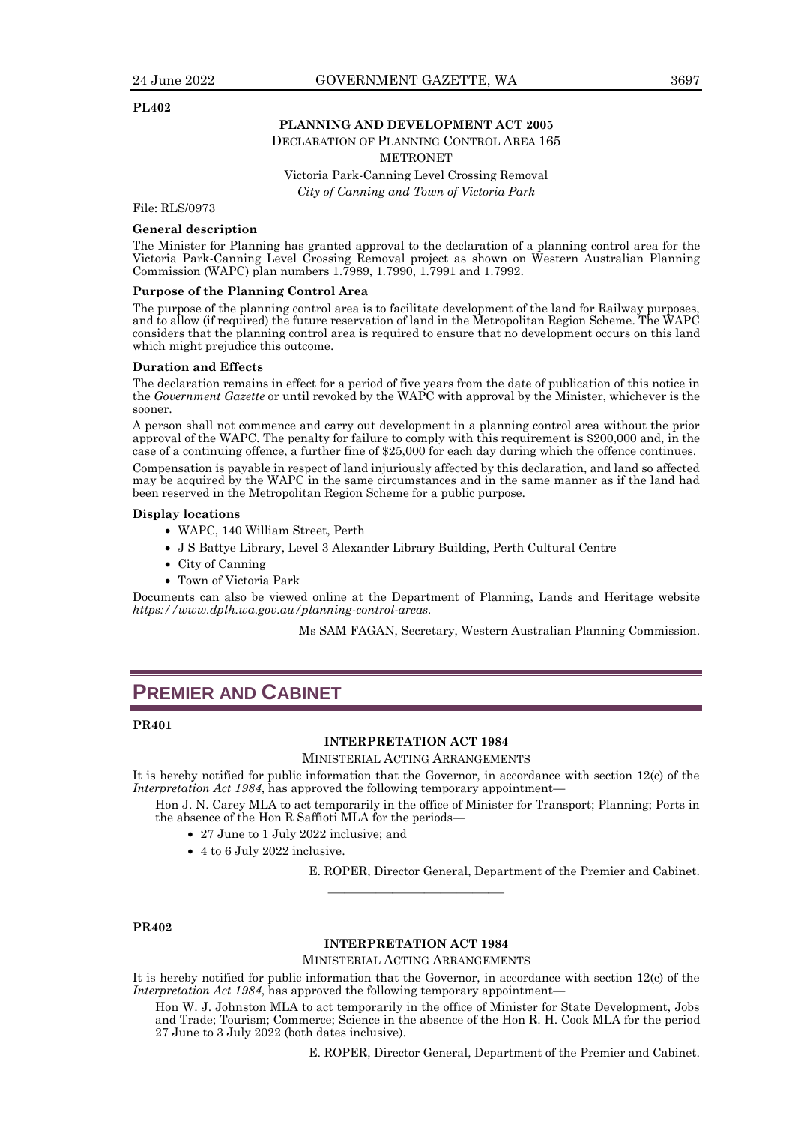#### **PL402**

#### **PLANNING AND DEVELOPMENT ACT 2005**

DECLARATION OF PLANNING CONTROL AREA 165

METRONET

Victoria Park-Canning Level Crossing Removal *City of Canning and Town of Victoria Park*

File: RLS/0973

#### **General description**

The Minister for Planning has granted approval to the declaration of a planning control area for the Victoria Park-Canning Level Crossing Removal project as shown on Western Australian Planning Commission (WAPC) plan numbers 1.7989, 1.7990, 1.7991 and 1.7992.

#### **Purpose of the Planning Control Area**

The purpose of the planning control area is to facilitate development of the land for Railway purposes, and to allow (if required) the future reservation of land in the Metropolitan Region Scheme. The WAPC considers that the planning control area is required to ensure that no development occurs on this land which might prejudice this outcome.

#### **Duration and Effects**

The declaration remains in effect for a period of five years from the date of publication of this notice in the *Government Gazette* or until revoked by the WAPC with approval by the Minister, whichever is the sooner.

A person shall not commence and carry out development in a planning control area without the prior approval of the WAPC. The penalty for failure to comply with this requirement is \$200,000 and, in the case of a continuing offence, a further fine of \$25,000 for each day during which the offence continues.

Compensation is payable in respect of land injuriously affected by this declaration, and land so affected may be acquired by the WAPC in the same circumstances and in the same manner as if the land had been reserved in the Metropolitan Region Scheme for a public purpose.

#### **Display locations**

- WAPC, 140 William Street, Perth
- J S Battye Library, Level 3 Alexander Library Building, Perth Cultural Centre
- City of Canning
- Town of Victoria Park

Documents can also be viewed online at the Department of Planning, Lands and Heritage website *https://www.dplh.wa.gov.au/planning-control-areas.*

Ms SAM FAGAN, Secretary, Western Australian Planning Commission.

## **PREMIER AND CABINET**

#### **PR401**

#### **INTERPRETATION ACT 1984**

MINISTERIAL ACTING ARRANGEMENTS

It is hereby notified for public information that the Governor, in accordance with section 12(c) of the *Interpretation Act 1984*, has approved the following temporary appointment—

Hon J. N. Carey MLA to act temporarily in the office of Minister for Transport; Planning; Ports in the absence of the Hon R Saffioti MLA for the periods—

- 27 June to 1 July 2022 inclusive; and
- 4 to 6 July 2022 inclusive.

E. ROPER, Director General, Department of the Premier and Cabinet.

#### **PR402**

#### **INTERPRETATION ACT 1984**

 $\frac{1}{\sqrt{2}}$  , and the set of the set of the set of the set of the set of the set of the set of the set of the set of the set of the set of the set of the set of the set of the set of the set of the set of the set of the

MINISTERIAL ACTING ARRANGEMENTS

It is hereby notified for public information that the Governor, in accordance with section 12(c) of the *Interpretation Act 1984*, has approved the following temporary appointment—

Hon W. J. Johnston MLA to act temporarily in the office of Minister for State Development, Jobs and Trade; Tourism; Commerce; Science in the absence of the Hon R. H. Cook MLA for the period 27 June to 3 July 2022 (both dates inclusive).

E. ROPER, Director General, Department of the Premier and Cabinet.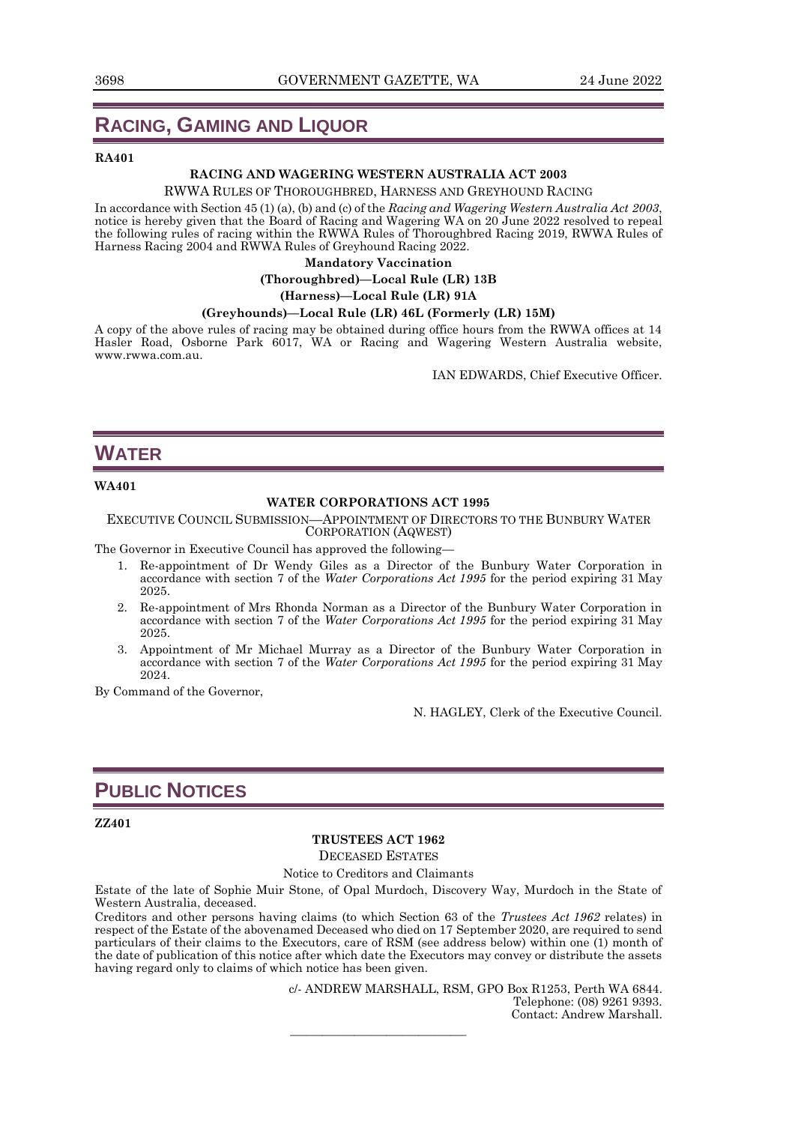## **RACING, GAMING AND LIQUOR**

#### **RA401**

#### **RACING AND WAGERING WESTERN AUSTRALIA ACT 2003**

RWWA RULES OF THOROUGHBRED, HARNESS AND GREYHOUND RACING

In accordance with Section 45 (1) (a), (b) and (c) of the *Racing and Wagering Western Australia Act 2003*, notice is hereby given that the Board of Racing and Wagering WA on 20 June 2022 resolved to repeal the following rules of racing within the RWWA Rules of Thoroughbred Racing 2019, RWWA Rules of Harness Racing 2004 and RWWA Rules of Greyhound Racing 2022.

#### **Mandatory Vaccination**

**(Thoroughbred)—Local Rule (LR) 13B**

**(Harness)—Local Rule (LR) 91A**

#### **(Greyhounds)—Local Rule (LR) 46L (Formerly (LR) 15M)**

A copy of the above rules of racing may be obtained during office hours from the RWWA offices at 14 Hasler Road, Osborne Park 6017, WA or Racing and Wagering Western Australia website, www.rwwa.com.au.

IAN EDWARDS, Chief Executive Officer.

## **WATER**

#### **WA401**

#### **WATER CORPORATIONS ACT 1995**

EXECUTIVE COUNCIL SUBMISSION—APPOINTMENT OF DIRECTORS TO THE BUNBURY WATER CORPORATION (AQWEST)

The Governor in Executive Council has approved the following—

- 1. Re-appointment of Dr Wendy Giles as a Director of the Bunbury Water Corporation in accordance with section 7 of the *Water Corporations Act 1995* for the period expiring 31 May 2025.
- 2. Re-appointment of Mrs Rhonda Norman as a Director of the Bunbury Water Corporation in accordance with section 7 of the *Water Corporations Act 1995* for the period expiring 31 May 2025.
- 3. Appointment of Mr Michael Murray as a Director of the Bunbury Water Corporation in accordance with section 7 of the *Water Corporations Act 1995* for the period expiring 31 May 2024.

By Command of the Governor,

N. HAGLEY, Clerk of the Executive Council.

## **PUBLIC NOTICES**

#### **ZZ401**

#### **TRUSTEES ACT 1962**

DECEASED ESTATES

Notice to Creditors and Claimants

Estate of the late of Sophie Muir Stone, of Opal Murdoch, Discovery Way, Murdoch in the State of Western Australia, deceased.

Creditors and other persons having claims (to which Section 63 of the *Trustees Act 1962* relates) in respect of the Estate of the abovenamed Deceased who died on 17 September 2020, are required to send particulars of their claims to the Executors, care of RSM (see address below) within one (1) month of the date of publication of this notice after which date the Executors may convey or distribute the assets having regard only to claims of which notice has been given.

 $\frac{1}{\sqrt{2}}$  , and the set of the set of the set of the set of the set of the set of the set of the set of the set of the set of the set of the set of the set of the set of the set of the set of the set of the set of the

c/- ANDREW MARSHALL, RSM, GPO Box R1253, Perth WA 6844. Telephone: (08) 9261 9393. Contact: Andrew Marshall.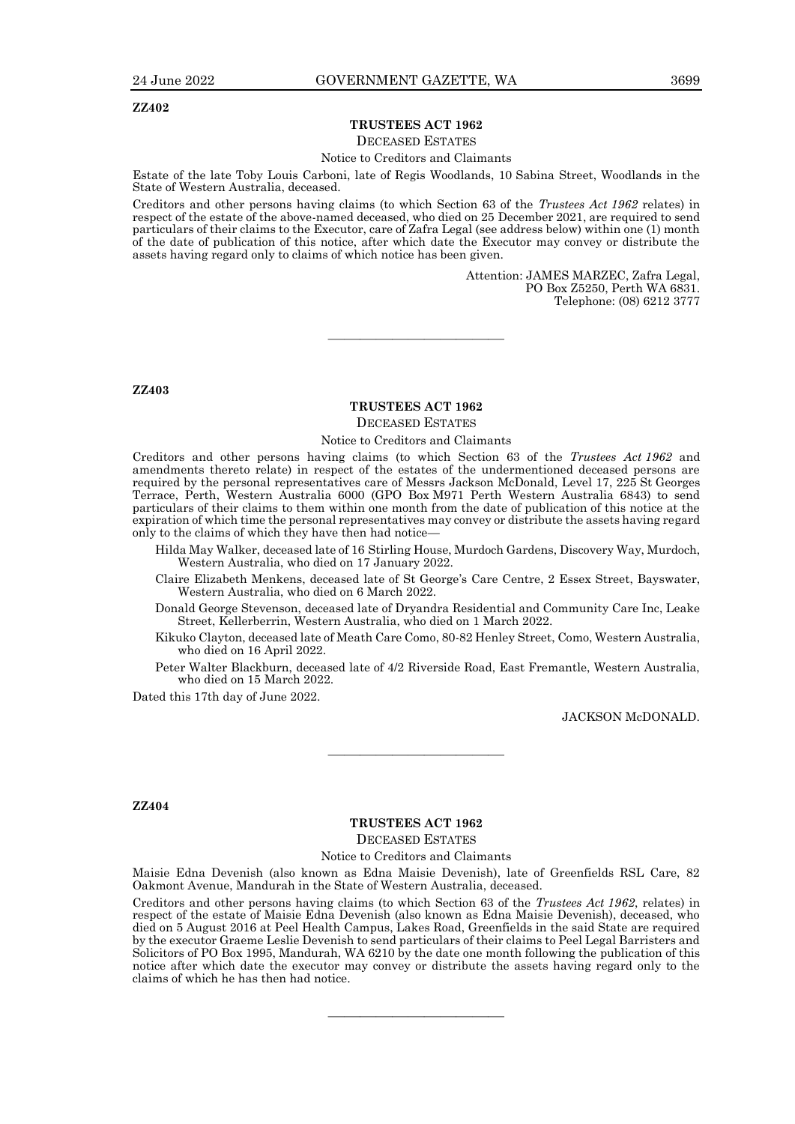#### **ZZ402**

#### **TRUSTEES ACT 1962**

#### DECEASED ESTATES

#### Notice to Creditors and Claimants

Estate of the late Toby Louis Carboni, late of Regis Woodlands, 10 Sabina Street, Woodlands in the State of Western Australia, deceased.

Creditors and other persons having claims (to which Section 63 of the *Trustees Act 1962* relates) in respect of the estate of the above-named deceased, who died on 25 December 2021, are required to send particulars of their claims to the Executor, care of Zafra Legal (see address below) within one (1) month of the date of publication of this notice, after which date the Executor may convey or distribute the assets having regard only to claims of which notice has been given.

> Attention: JAMES MARZEC, Zafra Legal, PO Box Z5250, Perth WA 6831. Telephone: (08) 6212 3777

**ZZ403**

#### **TRUSTEES ACT 1962** DECEASED ESTATES

———————————

#### Notice to Creditors and Claimants

Creditors and other persons having claims (to which Section 63 of the *Trustees Act 1962* and amendments thereto relate) in respect of the estates of the undermentioned deceased persons are required by the personal representatives care of Messrs Jackson McDonald, Level 17, 225 St Georges Terrace, Perth, Western Australia 6000 (GPO Box M971 Perth Western Australia 6843) to send particulars of their claims to them within one month from the date of publication of this notice at the expiration of which time the personal representatives may convey or distribute the assets having regard only to the claims of which they have then had notice—

- Hilda May Walker, deceased late of 16 Stirling House, Murdoch Gardens, Discovery Way, Murdoch, Western Australia, who died on 17 January 2022.
- Claire Elizabeth Menkens, deceased late of St George's Care Centre, 2 Essex Street, Bayswater, Western Australia, who died on 6 March 2022.
- Donald George Stevenson, deceased late of Dryandra Residential and Community Care Inc, Leake Street, Kellerberrin, Western Australia, who died on 1 March 2022.
- Kikuko Clayton, deceased late of Meath Care Como, 80-82 Henley Street, Como, Western Australia, who died on 16 April 2022.
- Peter Walter Blackburn, deceased late of 4/2 Riverside Road, East Fremantle, Western Australia, who died on 15 March 2022.

Dated this 17th day of June 2022.

JACKSON McDONALD.

#### **ZZ404**

### **TRUSTEES ACT 1962** DECEASED ESTATES

————————————————————

#### Notice to Creditors and Claimants

Maisie Edna Devenish (also known as Edna Maisie Devenish), late of Greenfields RSL Care, 82 Oakmont Avenue, Mandurah in the State of Western Australia, deceased.

Creditors and other persons having claims (to which Section 63 of the *Trustees Act 1962*, relates) in respect of the estate of Maisie Edna Devenish (also known as Edna Maisie Devenish), deceased, who died on 5 August 2016 at Peel Health Campus, Lakes Road, Greenfields in the said State are required by the executor Graeme Leslie Devenish to send particulars of their claims to Peel Legal Barristers and Solicitors of PO Box 1995, Mandurah, WA 6210 by the date one month following the publication of this notice after which date the executor may convey or distribute the assets having regard only to the claims of which he has then had notice.

 $\frac{1}{\sqrt{2}}$  , and the set of the set of the set of the set of the set of the set of the set of the set of the set of the set of the set of the set of the set of the set of the set of the set of the set of the set of the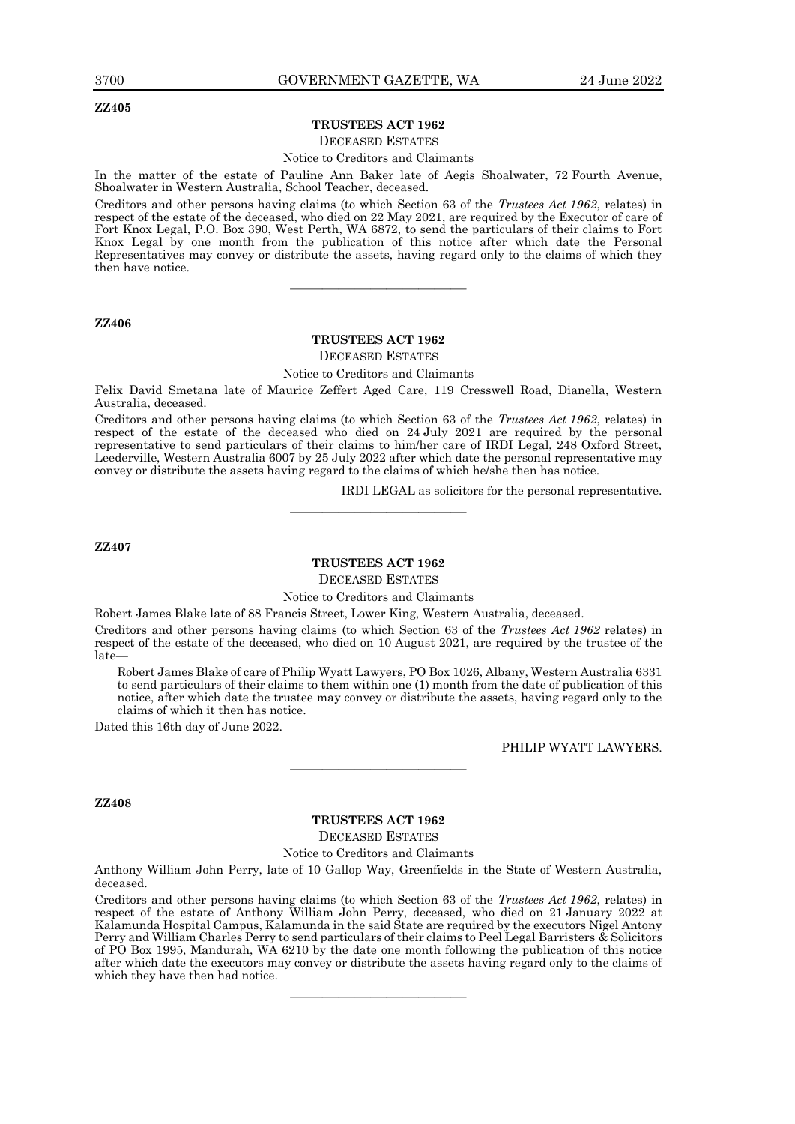#### **ZZ405**

#### **TRUSTEES ACT 1962**

#### DECEASED ESTATES

Notice to Creditors and Claimants

In the matter of the estate of Pauline Ann Baker late of Aegis Shoalwater, 72 Fourth Avenue,

Shoalwater in Western Australia, School Teacher, deceased.

Creditors and other persons having claims (to which Section 63 of the *Trustees Act 1962*, relates) in respect of the estate of the deceased, who died on 22 May 2021, are required by the Executor of care of Fort Knox Legal, P.O. Box 390, West Perth, WA 6872, to send the particulars of their claims to Fort Knox Legal by one month from the publication of this notice after which date the Personal Representatives may convey or distribute the assets, having regard only to the claims of which they then have notice.

———————————

#### **ZZ406**

#### **TRUSTEES ACT 1962**

#### DECEASED ESTATES

#### Notice to Creditors and Claimants

Felix David Smetana late of Maurice Zeffert Aged Care, 119 Cresswell Road, Dianella, Western Australia, deceased.

Creditors and other persons having claims (to which Section 63 of the *Trustees Act 1962*, relates) in respect of the estate of the deceased who died on 24 July 2021 are required by the personal representative to send particulars of their claims to him/her care of IRDI Legal, 248 Oxford Street, Leederville, Western Australia 6007 by 25 July 2022 after which date the personal representative may convey or distribute the assets having regard to the claims of which he/she then has notice.

IRDI LEGAL as solicitors for the personal representative.

**ZZ407**

#### **TRUSTEES ACT 1962**

———————————

DECEASED ESTATES

#### Notice to Creditors and Claimants

Robert James Blake late of 88 Francis Street, Lower King, Western Australia, deceased.

Creditors and other persons having claims (to which Section 63 of the *Trustees Act 1962* relates) in respect of the estate of the deceased, who died on 10 August 2021, are required by the trustee of the late—

Robert James Blake of care of Philip Wyatt Lawyers, PO Box 1026, Albany, Western Australia 6331 to send particulars of their claims to them within one (1) month from the date of publication of this notice, after which date the trustee may convey or distribute the assets, having regard only to the claims of which it then has notice.

Dated this 16th day of June 2022.

PHILIP WYATT LAWYERS.

#### **ZZ408**

#### **TRUSTEES ACT 1962** DECEASED ESTATES

 $\frac{1}{\sqrt{2}}$  , and the set of the set of the set of the set of the set of the set of the set of the set of the set of the set of the set of the set of the set of the set of the set of the set of the set of the set of the

Notice to Creditors and Claimants

Anthony William John Perry, late of 10 Gallop Way, Greenfields in the State of Western Australia, deceased.

Creditors and other persons having claims (to which Section 63 of the *Trustees Act 1962*, relates) in respect of the estate of Anthony William John Perry, deceased, who died on 21 January 2022 at Kalamunda Hospital Campus, Kalamunda in the said State are required by the executors Nigel Antony Perry and William Charles Perry to send particulars of their claims to Peel Legal Barristers & Solicitors of PO Box 1995, Mandurah, WA 6210 by the date one month following the publication of this notice after which date the executors may convey or distribute the assets having regard only to the claims of which they have then had notice.

 $\frac{1}{\sqrt{2}}$  , and the set of the set of the set of the set of the set of the set of the set of the set of the set of the set of the set of the set of the set of the set of the set of the set of the set of the set of the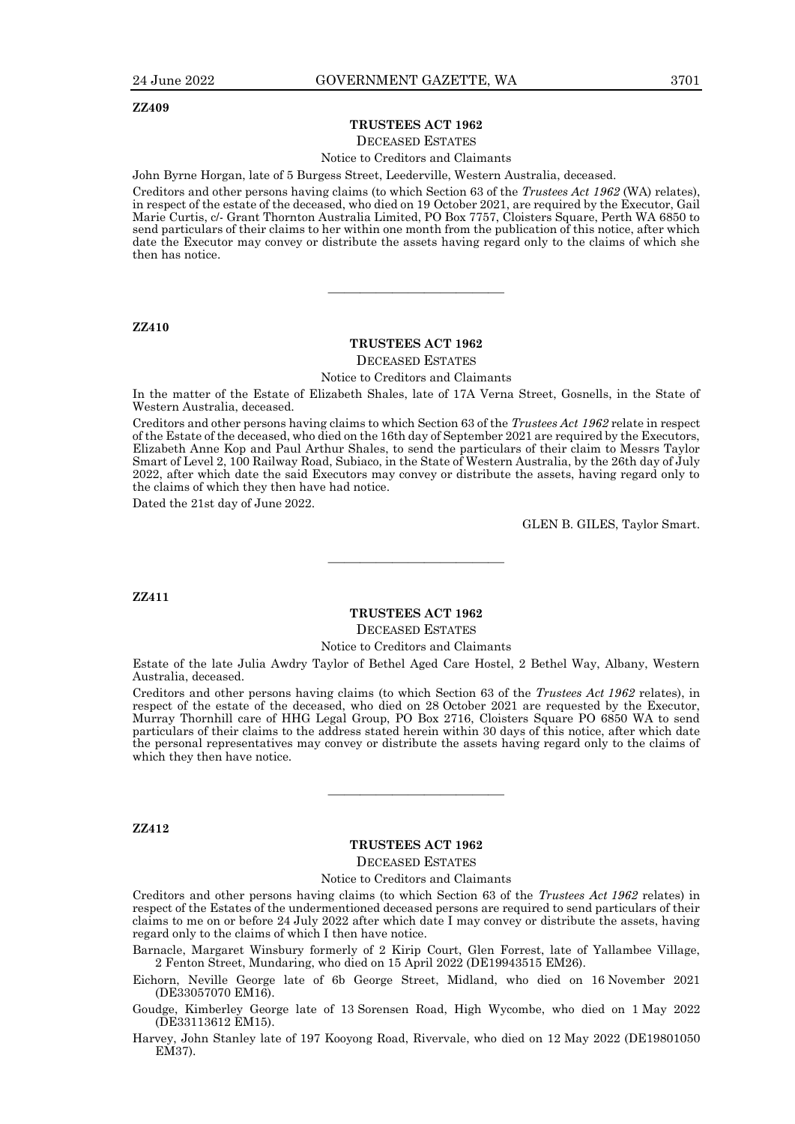#### **TRUSTEES ACT 1962**

#### DECEASED ESTATES

Notice to Creditors and Claimants

John Byrne Horgan, late of 5 Burgess Street, Leederville, Western Australia, deceased.

Creditors and other persons having claims (to which Section 63 of the *Trustees Act 1962* (WA) relates), in respect of the estate of the deceased, who died on 19 October 2021, are required by the Executor, Gail Marie Curtis, c/- Grant Thornton Australia Limited, PO Box 7757, Cloisters Square, Perth WA 6850 to send particulars of their claims to her within one month from the publication of this notice, after which date the Executor may convey or distribute the assets having regard only to the claims of which she then has notice.

#### **ZZ410**

#### **TRUSTEES ACT 1962**

———————————

DECEASED ESTATES

Notice to Creditors and Claimants

In the matter of the Estate of Elizabeth Shales, late of 17A Verna Street, Gosnells, in the State of Western Australia, deceased.

Creditors and other persons having claims to which Section 63 of the *Trustees Act 1962* relate in respect of the Estate of the deceased, who died on the 16th day of September 2021 are required by the Executors, Elizabeth Anne Kop and Paul Arthur Shales, to send the particulars of their claim to Messrs Taylor Smart of Level 2, 100 Railway Road, Subiaco, in the State of Western Australia, by the 26th day of July 2022, after which date the said Executors may convey or distribute the assets, having regard only to the claims of which they then have had notice.

Dated the 21st day of June 2022.

GLEN B. GILES, Taylor Smart.

**ZZ411**

#### **TRUSTEES ACT 1962**

————————————————————

DECEASED ESTATES

#### Notice to Creditors and Claimants

Estate of the late Julia Awdry Taylor of Bethel Aged Care Hostel, 2 Bethel Way, Albany, Western Australia, deceased.

Creditors and other persons having claims (to which Section 63 of the *Trustees Act 1962* relates), in respect of the estate of the deceased, who died on 28 October 2021 are requested by the Executor, Murray Thornhill care of HHG Legal Group, PO Box 2716, Cloisters Square PO 6850 WA to send particulars of their claims to the address stated herein within 30 days of this notice, after which date the personal representatives may convey or distribute the assets having regard only to the claims of which they then have notice.

**ZZ412**

#### **TRUSTEES ACT 1962**

————————————————————

DECEASED ESTATES

#### Notice to Creditors and Claimants

Creditors and other persons having claims (to which Section 63 of the *Trustees Act 1962* relates) in respect of the Estates of the undermentioned deceased persons are required to send particulars of their claims to me on or before 24 July 2022 after which date I may convey or distribute the assets, having regard only to the claims of which I then have notice.

Barnacle, Margaret Winsbury formerly of 2 Kirip Court, Glen Forrest, late of Yallambee Village, 2 Fenton Street, Mundaring, who died on 15 April 2022 (DE19943515 EM26).

Eichorn, Neville George late of 6b George Street, Midland, who died on 16 November 2021 (DE33057070 EM16).

Goudge, Kimberley George late of 13 Sorensen Road, High Wycombe, who died on 1 May 2022 (DE33113612 EM15).

Harvey, John Stanley late of 197 Kooyong Road, Rivervale, who died on 12 May 2022 (DE19801050 EM37).